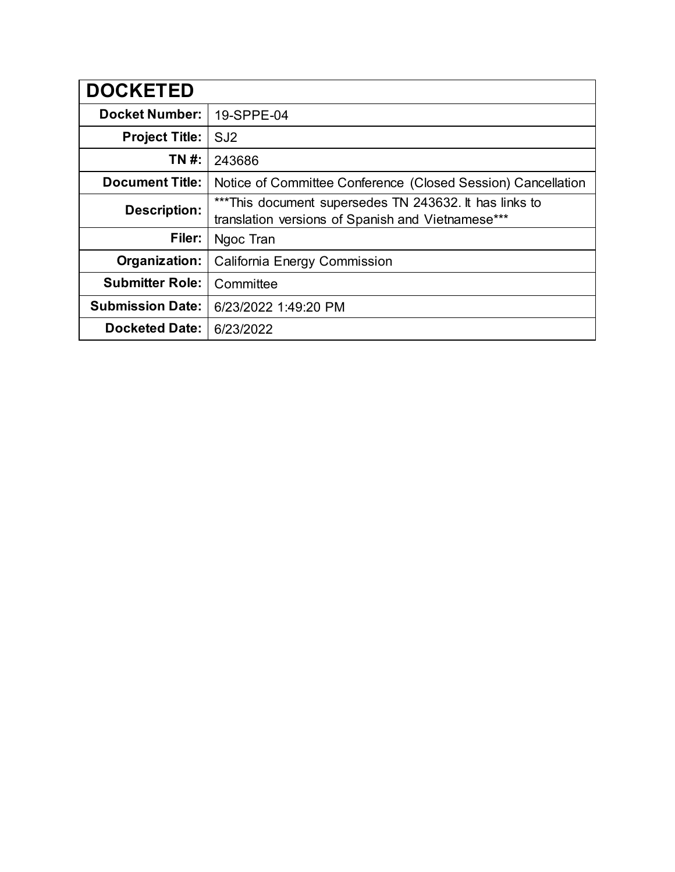| <b>DOCKETED</b>         |                                                                                                             |
|-------------------------|-------------------------------------------------------------------------------------------------------------|
| <b>Docket Number:</b>   | 19-SPPE-04                                                                                                  |
| <b>Project Title:</b>   | SJ <sub>2</sub>                                                                                             |
| TN #:                   | 243686                                                                                                      |
| <b>Document Title:</b>  | Notice of Committee Conference (Closed Session) Cancellation                                                |
| Description:            | ***This document supersedes TN 243632. It has links to<br>translation versions of Spanish and Vietnamese*** |
| Filer:                  | Ngoc Tran                                                                                                   |
| Organization:           | California Energy Commission                                                                                |
| <b>Submitter Role:</b>  | Committee                                                                                                   |
| <b>Submission Date:</b> | 6/23/2022 1:49:20 PM                                                                                        |
| <b>Docketed Date:</b>   | 6/23/2022                                                                                                   |